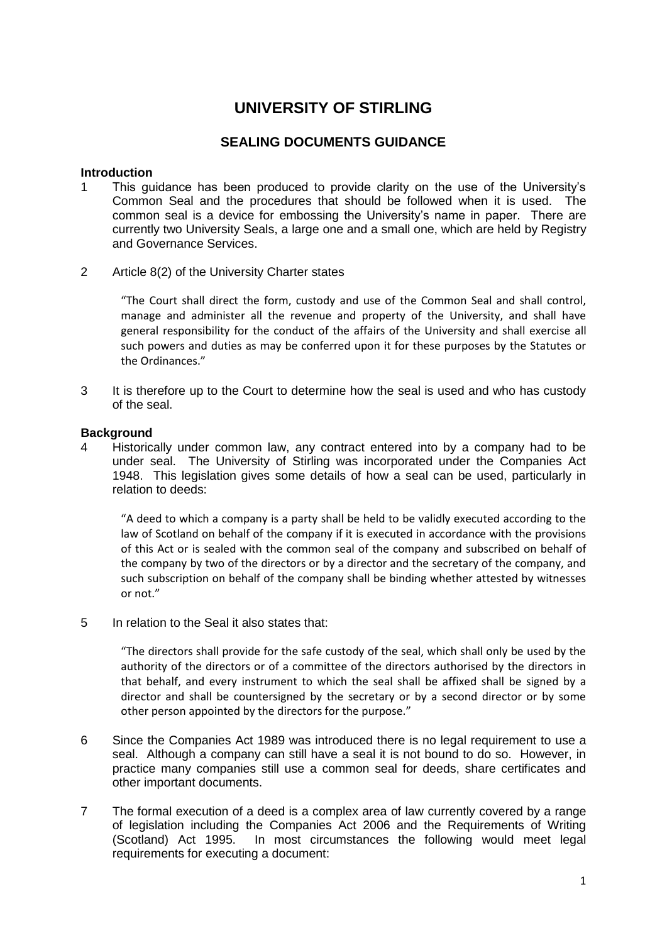# **UNIVERSITY OF STIRLING**

# **SEALING DOCUMENTS GUIDANCE**

#### **Introduction**

- 1 This guidance has been produced to provide clarity on the use of the University's Common Seal and the procedures that should be followed when it is used. The common seal is a device for embossing the University's name in paper. There are currently two University Seals, a large one and a small one, which are held by Registry and Governance Services.
- 2 Article 8(2) of the University Charter states

"The Court shall direct the form, custody and use of the Common Seal and shall control, manage and administer all the revenue and property of the University, and shall have general responsibility for the conduct of the affairs of the University and shall exercise all such powers and duties as may be conferred upon it for these purposes by the Statutes or the Ordinances."

3 It is therefore up to the Court to determine how the seal is used and who has custody of the seal.

#### **Background**

4 Historically under common law, any contract entered into by a company had to be under seal. The University of Stirling was incorporated under the Companies Act 1948. This legislation gives some details of how a seal can be used, particularly in relation to deeds:

"A deed to which a company is a party shall be held to be validly executed according to the law of Scotland on behalf of the company if it is executed in accordance with the provisions of this Act or is sealed with the common seal of the company and subscribed on behalf of the company by two of the directors or by a director and the secretary of the company, and such subscription on behalf of the company shall be binding whether attested by witnesses or not."

5 In relation to the Seal it also states that:

"The directors shall provide for the safe custody of the seal, which shall only be used by the authority of the directors or of a committee of the directors authorised by the directors in that behalf, and every instrument to which the seal shall be affixed shall be signed by a director and shall be countersigned by the secretary or by a second director or by some other person appointed by the directors for the purpose."

- 6 Since the Companies Act 1989 was introduced there is no legal requirement to use a seal. Although a company can still have a seal it is not bound to do so. However, in practice many companies still use a common seal for deeds, share certificates and other important documents.
- 7 The formal execution of a deed is a complex area of law currently covered by a range of legislation including the Companies Act 2006 and the Requirements of Writing (Scotland) Act 1995. In most circumstances the following would meet legal requirements for executing a document: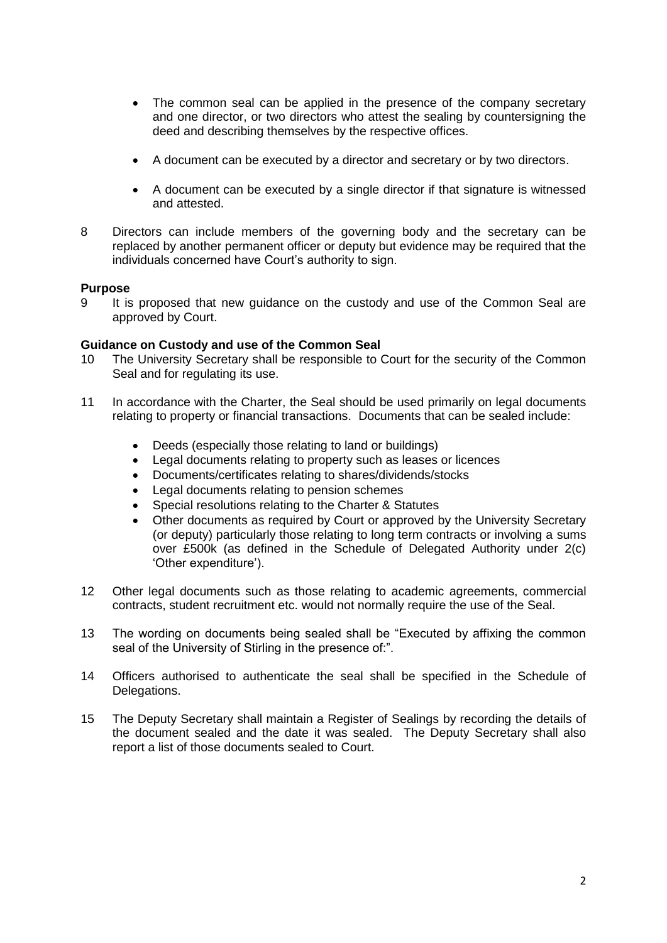- The common seal can be applied in the presence of the company secretary and one director, or two directors who attest the sealing by countersigning the deed and describing themselves by the respective offices.
- A document can be executed by a director and secretary or by two directors.
- A document can be executed by a single director if that signature is witnessed and attested.
- 8 Directors can include members of the governing body and the secretary can be replaced by another permanent officer or deputy but evidence may be required that the individuals concerned have Court's authority to sign.

## **Purpose**

9 It is proposed that new guidance on the custody and use of the Common Seal are approved by Court.

#### **Guidance on Custody and use of the Common Seal**

- 10 The University Secretary shall be responsible to Court for the security of the Common Seal and for regulating its use.
- 11 In accordance with the Charter, the Seal should be used primarily on legal documents relating to property or financial transactions. Documents that can be sealed include:
	- Deeds (especially those relating to land or buildings)
	- Legal documents relating to property such as leases or licences
	- Documents/certificates relating to shares/dividends/stocks
	- Legal documents relating to pension schemes
	- Special resolutions relating to the Charter & Statutes
	- Other documents as required by Court or approved by the University Secretary (or deputy) particularly those relating to long term contracts or involving a sums over £500k (as defined in the Schedule of Delegated Authority under 2(c) 'Other expenditure').
- 12 Other legal documents such as those relating to academic agreements, commercial contracts, student recruitment etc. would not normally require the use of the Seal.
- 13 The wording on documents being sealed shall be "Executed by affixing the common seal of the University of Stirling in the presence of:".
- 14 Officers authorised to authenticate the seal shall be specified in the Schedule of Delegations.
- 15 The Deputy Secretary shall maintain a Register of Sealings by recording the details of the document sealed and the date it was sealed. The Deputy Secretary shall also report a list of those documents sealed to Court.